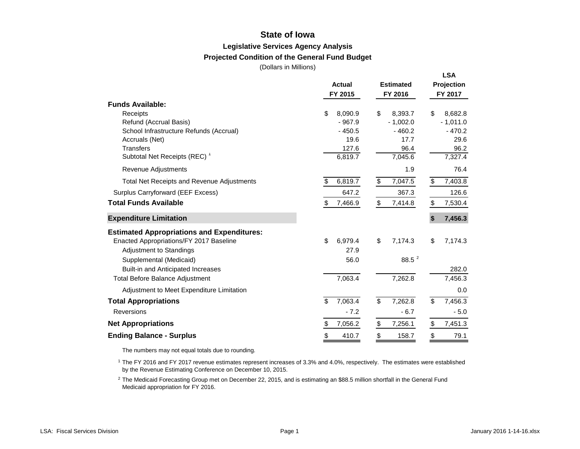## **State of Iowa**

### **Legislative Services Agency Analysis**

### **Projected Condition of the General Fund Budget**

(Dollars in Millions)

|                                                   |                        |                                     | <b>LSA</b>                    |
|---------------------------------------------------|------------------------|-------------------------------------|-------------------------------|
|                                                   | <b>Actual</b>          | <b>Estimated</b>                    | Projection                    |
|                                                   | FY 2015                | FY 2016                             | FY 2017                       |
| <b>Funds Available:</b>                           |                        |                                     |                               |
| Receipts                                          | \$<br>8,090.9          | \$<br>8,393.7                       | \$<br>8,682.8                 |
| Refund (Accrual Basis)                            | $-967.9$               | $-1,002.0$                          | $-1,011.0$                    |
| School Infrastructure Refunds (Accrual)           | $-450.5$               | $-460.2$                            | $-470.2$                      |
| Accruals (Net)                                    | 19.6                   | 17.7                                | 29.6                          |
| <b>Transfers</b>                                  | 127.6                  | 96.4                                | 96.2                          |
| Subtotal Net Receipts (REC) <sup>1</sup>          | 6,819.7                | 7,045.6                             | 7,327.4                       |
| Revenue Adjustments                               |                        | 1.9                                 | 76.4                          |
| <b>Total Net Receipts and Revenue Adjustments</b> | 6,819.7<br>\$          | \$<br>7,047.5                       | \$<br>7,403.8                 |
| Surplus Carryforward (EEF Excess)                 | 647.2                  | 367.3                               | 126.6                         |
| <b>Total Funds Available</b>                      | \$<br>7,466.9          | \$<br>7,414.8                       | \$<br>7,530.4                 |
| <b>Expenditure Limitation</b>                     |                        |                                     | 7,456.3<br>$\mathbf{\hat{s}}$ |
| <b>Estimated Appropriations and Expenditures:</b> |                        |                                     |                               |
| Enacted Appropriations/FY 2017 Baseline           | \$<br>6,979.4          | \$<br>7,174.3                       | \$<br>7,174.3                 |
| <b>Adjustment to Standings</b>                    | 27.9                   |                                     |                               |
| Supplemental (Medicaid)                           | 56.0                   | 88.5 $^{2}$                         |                               |
| Built-in and Anticipated Increases                |                        |                                     | 282.0                         |
| <b>Total Before Balance Adjustment</b>            | 7,063.4                | 7,262.8                             | 7,456.3                       |
| Adjustment to Meet Expenditure Limitation         |                        |                                     | 0.0                           |
| <b>Total Appropriations</b>                       | 7,063.4<br>\$          | $\overline{\mathcal{S}}$<br>7,262.8 | 7,456.3<br>\$                 |
| <b>Reversions</b>                                 | $-7.2$                 | $-6.7$                              | $-5.0$                        |
| <b>Net Appropriations</b>                         | 7,056.2<br>\$          | \$<br>7,256.1                       | \$<br>7,451.3                 |
| <b>Ending Balance - Surplus</b>                   | $\frac{1}{2}$<br>410.7 | $\frac{1}{2}$<br>158.7              | \$<br>79.1                    |

The numbers may not equal totals due to rounding.

1 The FY 2016 and FY 2017 revenue estimates represent increases of 3.3% and 4.0%, respectively. The estimates were established by the Revenue Estimating Conference on December 10, 2015.

2 The Medicaid Forecasting Group met on December 22, 2015, and is estimating an \$88.5 million shortfall in the General Fund Medicaid appropriation for FY 2016.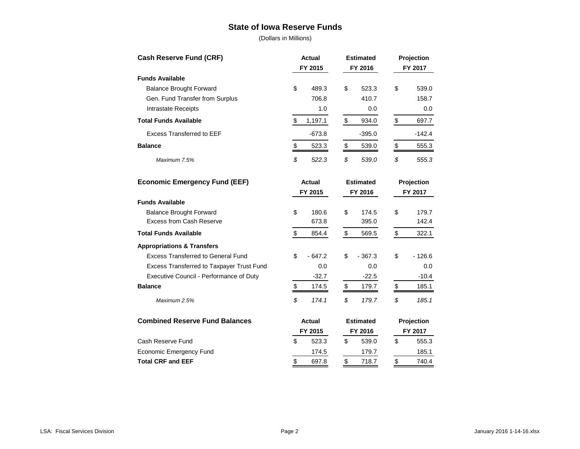## **State of Iowa Reserve Funds**

(Dollars in Millions)

| <b>Cash Reserve Fund (CRF)</b>            | <b>Actual</b>           | <b>Estimated</b> | Projection     |  |  |
|-------------------------------------------|-------------------------|------------------|----------------|--|--|
| FY 2015                                   |                         | FY 2016          | FY 2017        |  |  |
| <b>Funds Available</b>                    |                         |                  |                |  |  |
| <b>Balance Brought Forward</b>            | \$<br>489.3             | \$<br>523.3      | \$<br>539.0    |  |  |
| Gen. Fund Transfer from Surplus           | 706.8                   | 410.7            | 158.7          |  |  |
| <b>Intrastate Receipts</b>                | 1.0                     | 0.0              | 0.0            |  |  |
| <b>Total Funds Available</b>              | \$<br>1,197.1           | \$<br>934.0      | \$<br>697.7    |  |  |
| <b>Excess Transferred to EEF</b>          | $-673.8$                | $-395.0$         | $-142.4$       |  |  |
| <b>Balance</b>                            | \$<br>523.3             | \$<br>539.0      | \$<br>555.3    |  |  |
| Maximum 7.5%                              | \$<br>522.3             | \$<br>539.0      | \$<br>555.3    |  |  |
| <b>Economic Emergency Fund (EEF)</b>      | <b>Actual</b>           | <b>Estimated</b> | Projection     |  |  |
|                                           | FY 2015                 | FY 2016          | FY 2017        |  |  |
| <b>Funds Available</b>                    |                         |                  |                |  |  |
| <b>Balance Brought Forward</b>            | \$<br>180.6             | \$<br>174.5      | \$<br>179.7    |  |  |
| <b>Excess from Cash Reserve</b>           | 673.8                   | 395.0            | 142.4          |  |  |
| <b>Total Funds Available</b>              | \$<br>854.4             | \$<br>569.5      | \$<br>322.1    |  |  |
| <b>Appropriations &amp; Transfers</b>     |                         |                  |                |  |  |
| <b>Excess Transferred to General Fund</b> | \$<br>$-647.2$          | \$<br>$-367.3$   | \$<br>$-126.6$ |  |  |
| Excess Transferred to Taxpayer Trust Fund | 0.0                     | 0.0              | 0.0            |  |  |
| Executive Council - Performance of Duty   | $-32.7$                 | $-22.5$          | $-10.4$        |  |  |
| <b>Balance</b>                            | $$\mathbb{S}$$<br>174.5 | \$<br>179.7      | \$<br>185.1    |  |  |
| Maximum 2.5%                              | \$<br>174.1             | \$<br>179.7      | \$<br>185.1    |  |  |
| <b>Combined Reserve Fund Balances</b>     | <b>Actual</b>           | <b>Estimated</b> | Projection     |  |  |
|                                           | FY 2015                 | FY 2016          | FY 2017        |  |  |
| Cash Reserve Fund                         | \$<br>523.3             | \$<br>539.0      | \$<br>555.3    |  |  |
| <b>Economic Emergency Fund</b>            | 174.5                   | 179.7            | 185.1          |  |  |
| <b>Total CRF and EEF</b>                  | \$<br>697.8             | \$<br>718.7      | \$<br>740.4    |  |  |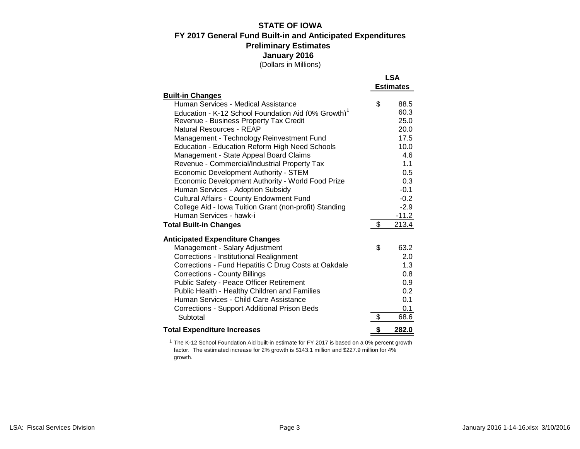### **STATE OF IOWA FY 2017 General Fund Built-in and Anticipated Expenditures** (Dollars in Millions) **January 2016 Preliminary Estimates**

|                                                                 | <b>LSA</b>       |
|-----------------------------------------------------------------|------------------|
|                                                                 | <b>Estimates</b> |
| <b>Built-in Changes</b>                                         |                  |
| Human Services - Medical Assistance                             | \$<br>88.5       |
| Education - K-12 School Foundation Aid (0% Growth) <sup>1</sup> | 60.3             |
| Revenue - Business Property Tax Credit                          | 25.0             |
| Natural Resources - REAP                                        | 20.0             |
| Management - Technology Reinvestment Fund                       | 17.5             |
| <b>Education - Education Reform High Need Schools</b>           | 10.0             |
| Management - State Appeal Board Claims                          | 4.6              |
| Revenue - Commercial/Industrial Property Tax                    | 1.1              |
| <b>Economic Development Authority - STEM</b>                    | 0.5              |
| Economic Development Authority - World Food Prize               | 0.3              |
| Human Services - Adoption Subsidy                               | $-0.1$           |
| <b>Cultural Affairs - County Endowment Fund</b>                 | $-0.2$           |
| College Aid - Iowa Tuition Grant (non-profit) Standing          | $-2.9$           |
| Human Services - hawk-i                                         | $-11.2$          |
| <b>Total Built-in Changes</b>                                   | \$<br>213.4      |
| <b>Anticipated Expenditure Changes</b>                          |                  |
| Management - Salary Adjustment                                  | \$<br>63.2       |
| <b>Corrections - Institutional Realignment</b>                  | 2.0              |
| Corrections - Fund Hepatitis C Drug Costs at Oakdale            | 1.3              |
| <b>Corrections - County Billings</b>                            | 0.8              |
| Public Safety - Peace Officer Retirement                        | 0.9              |
| Public Health - Healthy Children and Families                   | 0.2              |
| Human Services - Child Care Assistance                          | 0.1              |
| <b>Corrections - Support Additional Prison Beds</b>             | 0.1              |
| Subtotal                                                        | \$<br>68.6       |
| <b>Total Expenditure Increases</b>                              | \$<br>282.0      |

<sup>1</sup> The K-12 School Foundation Aid built-in estimate for FY 2017 is based on a 0% percent growth factor. The estimated increase for 2% growth is \$143.1 million and \$227.9 million for 4% growth.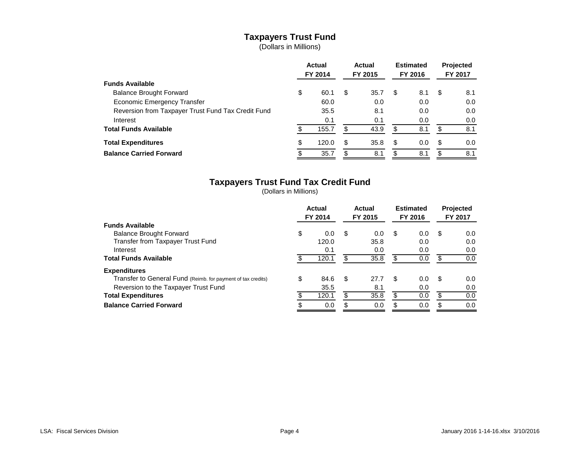# **Taxpayers Trust Fund**

(Dollars in Millions)

|                                                    | <b>Actual</b><br>FY 2014 |       |    |      |     |     |    |     |  |  |  |  | <b>Actual</b><br>FY 2015 |  | <b>Estimated</b><br>FY 2016 |  |  | <b>Projected</b><br>FY 2017 |  |
|----------------------------------------------------|--------------------------|-------|----|------|-----|-----|----|-----|--|--|--|--|--------------------------|--|-----------------------------|--|--|-----------------------------|--|
| <b>Funds Available</b>                             |                          |       |    |      |     |     |    |     |  |  |  |  |                          |  |                             |  |  |                             |  |
| <b>Balance Brought Forward</b>                     | \$                       | 60.1  | \$ | 35.7 | \$  | 8.1 | S  | 8.1 |  |  |  |  |                          |  |                             |  |  |                             |  |
| <b>Economic Emergency Transfer</b>                 |                          | 60.0  |    | 0.0  |     | 0.0 |    | 0.0 |  |  |  |  |                          |  |                             |  |  |                             |  |
| Reversion from Taxpayer Trust Fund Tax Credit Fund |                          | 35.5  |    | 8.1  |     | 0.0 |    | 0.0 |  |  |  |  |                          |  |                             |  |  |                             |  |
| Interest                                           |                          | 0.1   |    | 0.1  |     | 0.0 |    | 0.0 |  |  |  |  |                          |  |                             |  |  |                             |  |
| <b>Total Funds Available</b>                       |                          | 155.7 | S  | 43.9 | \$. | 8.1 | S  | 8.1 |  |  |  |  |                          |  |                             |  |  |                             |  |
| <b>Total Expenditures</b>                          | \$                       | 120.0 | S  | 35.8 | \$  | 0.0 | S  | 0.0 |  |  |  |  |                          |  |                             |  |  |                             |  |
| <b>Balance Carried Forward</b>                     |                          | 35.7  | S  | 8.1  | S   | 8.1 | \$ | 8.1 |  |  |  |  |                          |  |                             |  |  |                             |  |

# **Taxpayers Trust Fund Tax Credit Fund**

(Dollars in Millions)

|                                                              | Actual<br>FY 2014 |       | Actual<br>FY 2015 | <b>Estimated</b><br>FY 2016 |     | <b>Projected</b><br>FY 2017 |     |
|--------------------------------------------------------------|-------------------|-------|-------------------|-----------------------------|-----|-----------------------------|-----|
| <b>Funds Available</b>                                       |                   |       |                   |                             |     |                             |     |
| <b>Balance Brought Forward</b>                               | \$                | 0.0   | \$<br>0.0         | \$                          | 0.0 | S                           | 0.0 |
| Transfer from Taxpayer Trust Fund                            |                   | 120.0 | 35.8              |                             | 0.0 |                             | 0.0 |
| Interest                                                     |                   | 0.1   | 0.0               |                             | 0.0 |                             | 0.0 |
| <b>Total Funds Available</b>                                 |                   | 120.1 | \$<br>35.8        | \$                          | 0.0 |                             | 0.0 |
| <b>Expenditures</b>                                          |                   |       |                   |                             |     |                             |     |
| Transfer to General Fund (Reimb. for payment of tax credits) | \$                | 84.6  | \$<br>27.7        | \$                          | 0.0 | \$.                         | 0.0 |
| Reversion to the Taxpayer Trust Fund                         |                   | 35.5  | 8.1               |                             | 0.0 |                             | 0.0 |
| <b>Total Expenditures</b>                                    |                   | 120.1 | \$<br>35.8        |                             | 0.0 |                             | 0.0 |
| <b>Balance Carried Forward</b>                               |                   | 0.0   | 0.0               | \$                          | 0.0 |                             | 0.0 |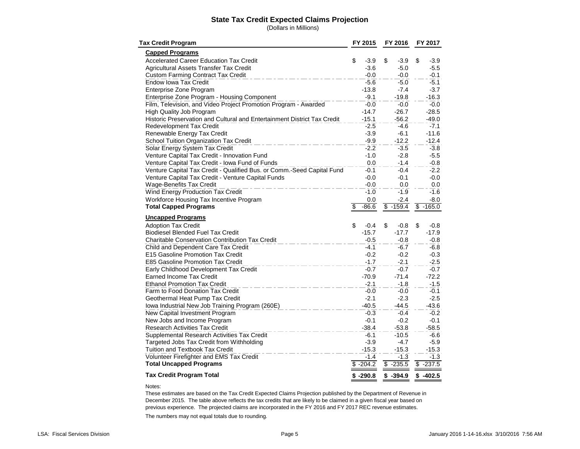### **State Tax Credit Expected Claims Projection**

(Dollars in Millions)

| <b>Tax Credit Program</b>                                                |    | FY 2015    |    | FY 2016    |    | FY 2017    |  |
|--------------------------------------------------------------------------|----|------------|----|------------|----|------------|--|
| <b>Capped Programs</b>                                                   |    |            |    |            |    |            |  |
| <b>Accelerated Career Education Tax Credit</b>                           | \$ | $-3.9$     | \$ | $-3.9$     | \$ | $-3.9$     |  |
| <b>Agricultural Assets Transfer Tax Credit</b>                           |    | $-3.6$     |    | $-5.0$     |    | $-5.5$     |  |
| <b>Custom Farming Contract Tax Credit</b>                                |    | $-0.0$     |    | $-0.0$     |    | $-0.1$     |  |
| <b>Endow Iowa Tax Credit</b>                                             |    | $-5.6$     |    | $-5.0$     |    | $-5.1$     |  |
| <b>Enterprise Zone Program</b>                                           |    | $-13.8$    |    | $-7.4$     |    | $-3.7$     |  |
| Enterprise Zone Program - Housing Component                              |    | $-9.1$     |    | $-19.8$    |    | $-16.3$    |  |
| Film, Television, and Video Project Promotion Program - Awarded          |    | $-0.0$     |    | $-0.0$     |    | $-0.0$     |  |
| High Quality Job Program                                                 |    | $-14.7$    |    | $-26.7$    |    | $-28.5$    |  |
| Historic Preservation and Cultural and Entertainment District Tax Credit |    | $-15.1$    |    | $-56.2$    |    | $-49.0$    |  |
| Redevelopment Tax Credit                                                 |    | $-2.5$     |    | $-4.6$     |    | $-7.1$     |  |
| Renewable Energy Tax Credit                                              |    | $-3.9$     |    | $-6.1$     |    | $-11.6$    |  |
| School Tuition Organization Tax Credit                                   |    | $-9.9$     |    | $-12.2$    |    | $-12.4$    |  |
| Solar Energy System Tax Credit                                           |    | $-2.2$     |    | $-3.5$     |    | $-3.8$     |  |
| Venture Capital Tax Credit - Innovation Fund                             |    | $-1.0$     |    | $-2.8$     |    | $-5.5$     |  |
| Venture Capital Tax Credit - Iowa Fund of Funds                          |    | 0.0        |    | $-1.4$     |    | $-0.8$     |  |
| Venture Capital Tax Credit - Qualified Bus. or Comm.-Seed Capital Fund   |    | $-0.1$     |    | $-0.4$     |    | $-2.2$     |  |
| Venture Capital Tax Credit - Venture Capital Funds                       |    | $-0.0$     |    | $-0.1$     |    | $-0.0$     |  |
| <b>Wage-Benefits Tax Credit</b>                                          |    | $-0.0$     |    | 0.0        |    | 0.0        |  |
| Wind Energy Production Tax Credit                                        |    | $-1.0$     |    | $-1.9$     |    | $-1.6$     |  |
| Workforce Housing Tax Incentive Program                                  |    | 0.0        |    | $-2.4$     |    | $-8.0$     |  |
| <b>Total Capped Programs</b>                                             | \$ | $-86.6$    | \$ | $-159.4$   | \$ | $-165.0$   |  |
| <b>Uncapped Programs</b>                                                 |    |            |    |            |    |            |  |
| <b>Adoption Tax Credit</b>                                               | \$ | $-0.4$     | \$ | $-0.8$     | \$ | $-0.8$     |  |
| <b>Biodiesel Blended Fuel Tax Credit</b>                                 |    | $-15.7$    |    | $-17.7$    |    | $-17.9$    |  |
| <b>Charitable Conservation Contribution Tax Credit</b>                   |    | $-0.5$     |    | $-0.8$     |    | $-0.8$     |  |
| Child and Dependent Care Tax Credit                                      |    | $-4.1$     |    | $-6.7$     |    | $-6.8$     |  |
| E15 Gasoline Promotion Tax Credit                                        |    | $-0.2$     |    | $-0.2$     |    | $-0.3$     |  |
| E85 Gasoline Promotion Tax Credit                                        |    | $-1.7$     |    | $-2.1$     |    | $-2.5$     |  |
| Early Childhood Development Tax Credit                                   |    | $-0.7$     |    | $-0.7$     |    | $-0.7$     |  |
| Earned Income Tax Credit                                                 |    | $-70.9$    |    | $-71.4$    |    | $-72.2$    |  |
| <b>Ethanol Promotion Tax Credit</b>                                      |    | $-2.1$     |    | $-1.8$     |    | $-1.5$     |  |
| Farm to Food Donation Tax Credit                                         |    | $-0.0$     |    | $-0.0$     |    | $-0.1$     |  |
| Geothermal Heat Pump Tax Credit                                          |    | $-2.1$     |    | $-2.3$     |    | $-2.5$     |  |
| Iowa Industrial New Job Training Program (260E)                          |    | $-40.5$    |    | $-44.5$    |    | $-43.6$    |  |
| New Capital Investment Program                                           |    | $-0.3$     |    | $-0.4$     |    | $-0.2$     |  |
| New Jobs and Income Program                                              |    | $-0.1$     |    | $-0.2$     |    | $-0.1$     |  |
| <b>Research Activities Tax Credit</b>                                    |    | $-38.4$    |    | $-53.8$    |    | $-58.5$    |  |
| Supplemental Research Activities Tax Credit                              |    | $-6.1$     |    | $-10.5$    |    | $-6.6$     |  |
| Targeted Jobs Tax Credit from Withholding                                |    | $-3.9$     |    | $-4.7$     |    | $-5.9$     |  |
| Tuition and Textbook Tax Credit                                          |    | $-15.3$    |    | $-15.3$    |    | $-15.3$    |  |
| Volunteer Firefighter and EMS Tax Credit                                 |    | $-1.4$     |    | $-1.3$     |    | $-1.3$     |  |
| <b>Total Uncapped Programs</b>                                           |    | $$ -204.2$ |    | $$ -235.5$ | S  | $-237.5$   |  |
| <b>Tax Credit Program Total</b>                                          |    | $$ -290.8$ |    | $$ -394.9$ |    | $$ -402.5$ |  |

#### Notes:

These estimates are based on the Tax Credit Expected Claims Projection published by the Department of Revenue in December 2015. The table above reflects the tax credits that are likely to be claimed in a given fiscal year based on previous experience. The projected claims are incorporated in the FY 2016 and FY 2017 REC revenue estimates.

The numbers may not equal totals due to rounding.